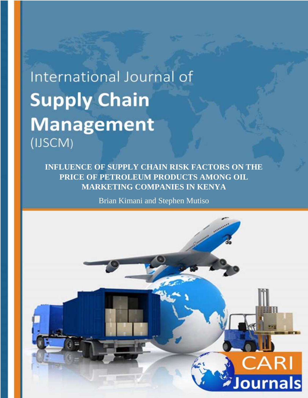# International Journal of **Supply Chain Management** (IJSCM)

**INFLUENCE OF SUPPLY CHAIN RISK FACTORS ON THE PRICE OF PETROLEUM PRODUCTS AMONG OIL MARKETING COMPANIES IN KENYA**

Brian Kimani and Stephen Mutiso

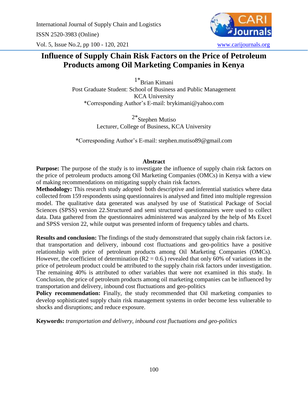International Journal of Supply Chain and Logistics ISSN 2520-3983 (Online) Vol. 5, Issue No.2, pp 100 - 120, 2021 [www.carijournals.org](http://www.carijournals.org/)

# **Influence of Supply Chain Risk Factors on the Price of Petroleum Products among Oil Marketing Companies in Kenya**

1\*Brian Kimani Post Graduate Student: School of Business and Public Management KCA University \*Corresponding Author's E-mail: brykimani@yahoo.com

> 2\*Stephen Mutiso Lecturer, College of Business, KCA University

\*Corresponding Author's E-mail: stephen.mutiso89@gmail.com

#### **Abstract**

**Purpose:** The purpose of the study is to investigate the influence of supply chain risk factors on the price of petroleum products among Oil Marketing Companies (OMCs) in Kenya with a view of making recommendations on mitigating supply chain risk factors.

**Methodology:** This research study adopted both descriptive and inferential statistics where data collected from 159 respondents using questionnaires is analysed and fitted into multiple regression model. The qualitative data generated was analysed by use of Statistical Package of Social Sciences (SPSS) version 22.Structured and semi structured questionnaires were used to collect data. Data gathered from the questionnaires administered was analyzed by the help of Ms Excel and SPSS version 22, while output was presented inform of frequency tables and charts.

**Results and conclusion:** The findings of the study demonstrated that supply chain risk factors i.e. that transportation and delivery, inbound cost fluctuations and geo-politics have a positive relationship with price of petroleum products among Oil Marketing Companies (OMCs). However, the coefficient of determination ( $R2 = 0.6$ .) revealed that only 60% of variations in the price of petroleum product could be attributed to the supply chain risk factors under investigation. The remaining 40% is attributed to other variables that were not examined in this study. In Conclusion, the price of petroleum products among oil marketing companies can be influenced by transportation and delivery, inbound cost fluctuations and geo-politics

**Policy recommendation:** Finally, the study recommended that Oil marketing companies to develop sophisticated supply chain risk management systems in order become less vulnerable to shocks and disruptions; and reduce exposure.

**Keywords:** *transportation and delivery, inbound cost fluctuations and geo-politics*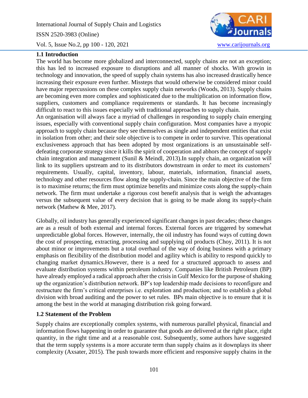International Journal of Supply Chain and Logistics ISSN 2520-3983 (Online)



Vol. 5, Issue No.2, pp 100 - 120, 2021 [www.carijournals.org](http://www.carijournals.org/)

# **1.1 Introduction**

The world has become more globalized and interconnected, supply chains are not an exception; this has led to increased exposure to disruptions and all manner of shocks. With growin in technology and innovation, the speed of supply chain systems has also increased drastically hence increasing their exposure even further. Missteps that would otherwise be considered minor could have major repercussions on these complex supply chain networks (Woods, 2013). Supply chains are becoming even more complex and sophisticated due to the multiplication on information flow, suppliers, customers and compliance requirements or standards. It has become increasingly difficult to react to this issues especially with traditional approaches to supply chain.

An organisation will always face a myriad of challenges in responding to supply chain emerging issues, especially with conventional supply chain configuration. Most companies have a myopic approach to supply chain because they see themselves as single and independent entities that exist in isolation from other; and their sole objective is to compete in order to survive. This operational exclusiveness approach that has been adopted by most organizations is an unsustainable selfdefeating corporate strategy since it kills the spirit of cooperation and abhors the concept of supply chain integration and management (Sunil & Meindl, 2013).In supply chain, an organization will link to its suppliers upstream and to its distributors downstream in order to meet its customers' requirements. Usually, capital, inventory, labour, materials, information, financial assets, technology and other resources flow along the supply-chain. Since the main objective of the firm is to maximise returns; the firm must optimize benefits and minimize costs along the supply-chain network. The firm must undertake a rigorous cost benefit analysis that is weigh the advantages versus the subsequent value of every decision that is going to be made along its supply-chain network (Mathew & Mee, 2017).

Globally, oil industry has generally experienced significant changes in past decades; these changes are as a result of both external and internal forces. External forces are triggered by somewhat unpredictable global forces. However, internally, the oil industry has found ways of cutting down the cost of prospecting, extracting, processing and supplying oil products (Choy, 2011). It is not about minor or improvements but a total overhaul of the way of doing business with a primary emphasis on flexibility of the distribution model and agility which is ability to respond quickly to changing market dynamics.However, there is a need for a structured approach to assess and evaluate distribution systems within petroleum industry. Companies like British Petroleum (BP) have already employed a radical approach after the crisis in Gulf Mexico for the purpose of shaking up the organization's distribution network. BP's top leadership made decisions to reconfigure and restructure the firm's critical enterprises i.e. exploration and production; and to establish a global division with broad auditing and the power to set rules. BPs main objective is to ensure that it is among the best in the world at managing distribution risk going forward.

## **1.2 Statement of the Problem**

Supply chains are exceptionally complex systems, with numerous parallel physical, financial and information flows happening in order to guarantee that goods are delivered at the right place, right quantity, in the right time and at a reasonable cost. Subsequently, some authors have suggested that the term supply systems is a more accurate term than supply chains as it downplays its sheer complexity (Axsater, 2015). The push towards more efficient and responsive supply chains in the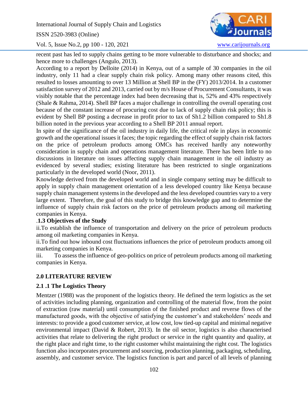ISSN 2520-3983 (Online)

Vol. 5, Issue No.2, pp 100 - 120, 2021 [www.carijournals.org](http://www.carijournals.org/)



recent past has led to supply chains getting to be more vulnerable to disturbance and shocks; and hence more to challenges (Angulo, 2013).

According to a report by Delloite (2014) in Kenya, out of a sample of 30 companies in the oil industry, only 11 had a clear supply chain risk policy. Among many other reasons cited, this resulted to losses amounting to over 13 Million at Shell BP in the (FY) 2013/2014. In a customer satisfaction survey of 2012 and 2013, carried out by m/s House of Procurement Consultants, it was visibly notable that the percentage index had been decreasing that is, 52% and 43% respectively (Shale & Rahma, 2014). Shell BP faces a major challenge in controlling the overall operating cost because of the constant increase of procuring cost due to lack of supply chain risk policy; this is evident by Shell BP posting a decrease in profit prior to tax of Sh1.2 billion compared to Sh1.8 billion noted in the previous year according to a Shell BP 2011 annual report.

In spite of the significance of the oil industry in daily life, the critical role in plays in economic growth and the operational issues it faces; the topic regarding the effect of supply chain risk factors on the price of petroleum products among OMCs has received hardly any noteworthy consideration in supply chain and operations management literature. There has been little to no discussions in literature on issues affecting supply chain management in the oil industry as evidenced by several studies; existing literature has been restricted to single organizations particularly in the developed world (Noor, 2011).

Knowledge derived from the developed world and in single company setting may be difficult to apply in supply chain management orientation of a less developed country like Kenya because supply chain management systems in the developed and the less developed countries vary to a very large extent. Therefore, the goal of this study to bridge this knowledge gap and to determine the influence of supply chain risk factors on the price of petroleum products among oil marketing companies in Kenya.

# .**1.3 Objectives of the Study**

ii.To establish the influence of transportation and delivery on the price of petroleum products among oil marketing companies in Kenya.

ii.To find out how inbound cost fluctuations influences the price of petroleum products among oil marketing companies in Kenya.

iii. To assess the influence of geo-politics on price of petroleum products among oil marketing companies in Kenya.

# **2.0 LITERATURE REVIEW**

# **2.1 .1 The Logistics Theory**

Mentzer (1988) was the proponent of the logistics theory. He defined the term logistics as the set of activities including planning, organization and controlling of the material flow, from the point of extraction (raw material) until consumption of the finished product and reverse flows of the manufactured goods, with the objective of satisfying the customer's and stakeholders' needs and interests: to provide a good customer service, at low cost, low tied-up capital and minimal negative environmental impact (David & Robert, 2013). In the oil sector, logistics is also characterised activities that relate to delivering the right product or service in the right quantity and quality, at the right place and right time, to the right customer whilst maintaining the right cost. The logistics function also incorporates procurement and sourcing, production planning, packaging, scheduling, assembly, and customer service. The logistics function is part and parcel of all levels of planning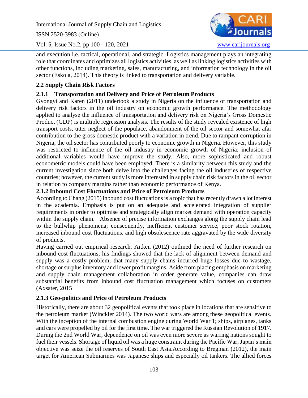ISSN 2520-3983 (Online)

Vol. 5, Issue No.2, pp 100 - 120, 2021 [www.carijournals.org](http://www.carijournals.org/)



and execution i.e. tactical, operational, and strategic. Logistics management plays an integrating role that coordinates and optimizes all logistics activities, as well as linking logistics activities with other functions, including marketing, sales, manufacturing, and information technology in the oil sector (Eskola, 2014). This theory is linked to transportation and delivery variable.

# **2.2 Supply Chain Risk Factors**

# **2.1.1 Transportation and Delivery and Price of Petroleum Products**

Gyongyi and Karen (2011) undertook a study in Nigeria on the influence of transportation and delivery risk factors in the oil industry on economic growth performance. The methodology applied to analyse the influence of transportation and delivery risk on Nigeria's Gross Domestic Product (GDP) is multiple regression analysis. The results of the study revealed existence of high transport costs, utter neglect of the populace, abandonment of the oil sector and somewhat afar contribution to the gross domestic product with a variation in trend. Due to rampant corruption in Nigeria, the oil sector has contributed poorly to economic growth in Nigeria. However, this study was restricted to influence of the oil industry in economic growth of Nigeria; inclusion of additional variables would have improve the study. Also, more sophisticated and robust econometric models could have been employed. There is a similarity between this study and the current investigation since both delve into the challenges facing the oil industries of respective countries; however, the current study is more interested in supply chain risk factors in the oil sector in relation to company margins rather than economic performance of Kenya.

# **2.1.2 Inbound Cost Fluctuations and Price of Petroleum Products**

According to Chang (2015) inbound cost fluctuations is a topic that has recently drawn a lot interest in the academia. Emphasis is put on an adequate and accelerated integration of supplier requirements in order to optimise and strategically align market demand with operation capacity within the supply chain. Absence of precise information exchanges along the supply chain lead to the bullwhip phenomena; consequently, inefficient customer service, poor stock rotation, increased inbound cost fluctuations, and high obsolescence rate aggravated by the wide diversity of products.

Having carried out empirical research, Aitken (2012) outlined the need of further research on inbound cost fluctuations; his findings showed that the lack of alignment between demand and supply was a costly problem; that many supply chains incurred huge losses due to wastage, shortage or surplus inventory and lower profit margins. Aside from placing emphasis on marketing and supply chain management collaboration in order generate value, companies can draw substantial benefits from inbound cost fluctuation management which focuses on customers (Axsater, 2015

# **2.1.3 Geo-politics and Price of Petroleum Products**

Historically, there are about 32 geopolitical events that took place in locations that are sensitive to the petroleum market (Winckler 2014). The two world wars are among these geopolitical events. With the inception of the internal combustion engine during World War 1; ships, airplanes, tanks and cars were propelled by oil for the first time. The war triggered the Russian Revolution of 1917. During the 2nd World War, dependence on oil was even more severe as warring nations sought to fuel their vessels. Shortage of liquid oil was a huge constraint during the Pacific War; Japan's main objective was seize the oil reserves of South East Asia.According to Bregman (2012), the main target for American Submarines was Japanese ships and especially oil tankers. The allied forces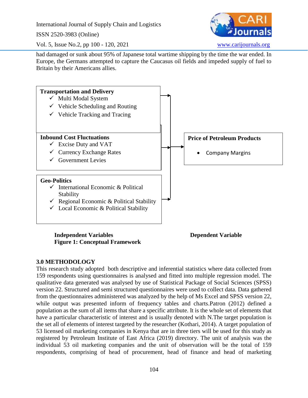ISSN 2520-3983 (Online)



Vol. 5, Issue No.2, pp 100 - 120, 2021 [www.carijournals.org](http://www.carijournals.org/)

had damaged or sunk about 95% of Japanese total wartime shipping by the time the war ended. In Europe, the Germans attempted to capture the Caucasus oil fields and impeded supply of fuel to Britain by their Americans allies.



**Independent Variables Dependent Variable Figure 1: Conceptual Framework**

# **3.0 METHODOLOGY**

This research study adopted both descriptive and inferential statistics where data collected from 159 respondents using questionnaires is analysed and fitted into multiple regression model. The qualitative data generated was analysed by use of Statistical Package of Social Sciences (SPSS) version 22. Structured and semi structured questionnaires were used to collect data. Data gathered from the questionnaires administered was analyzed by the help of Ms Excel and SPSS version 22, while output was presented inform of frequency tables and charts.Patron (2012) defined a population as the sum of all items that share a specific attribute. It is the whole set of elements that have a particular characteristic of interest and is usually denoted with N.The target population is the set all of elements of interest targeted by the researcher (Kothari, 2014). A target population of 53 licensed oil marketing companies in Kenya that are in three tiers will be used for this study as registered by Petroleum Institute of East Africa (2019) directory. The unit of analysis was the individual 53 oil marketing companies and the unit of observation will be the total of 159 respondents, comprising of head of procurement, head of finance and head of marketing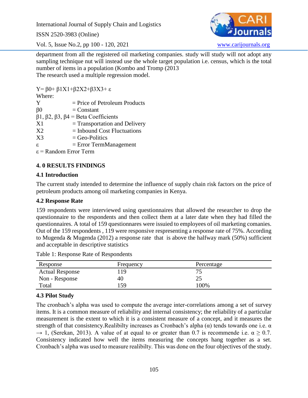ISSN 2520-3983 (Online)

Vol. 5, Issue No.2, pp 100 - 120, 2021 [www.carijournals.org](http://www.carijournals.org/)



department from all the registered oil marketing companies. study will study will not adopt any sampling technique nut will instead use the whole target population i.e. census, which is the total number of items in a population (Kombo and Tromp (2013 The research used a multiple regression model.

Y= β0+ β1X1+β2X2+β3X3+ ε Where:  $Y = Price of Petroleum Products$  $\beta 0 =$ Constant β1, β2, β3, β4 = Beta Coefficients  $X1 = Transportion and Delivery$  $X2 = Inbound Cost Fluctuations$  $X3 = \text{Geo-Politics}$  $ε$  = Error TermManagement ε = Random Error Term

# **4. 0 RESULTS FINDINGS**

# **4.1 Introduction**

The current study intended to determine the influence of supply chain risk factors on the price of petroleum products among oil marketing companies in Kenya.

# **4.2 Response Rate**

159 respondents were interviewed using questionnaires that allowed the researcher to drop the questionnaire to the respondents and then collect them at a later date when they had filled the questionnaires. A total of 159 questionnares were issuied to employees of oil marketing comanies. Out of the 159 respondents , 119 were responsive respresenting a response rate of 75%. According to Mugenda & Mugenda (2012) a response rate that is above the halfway mark (50%) sufficient and acceptable in descriptive statistics

| Table 1: Response Rate of Respondents |
|---------------------------------------|
|---------------------------------------|

| Response               | Frequency | Percentage |  |
|------------------------|-----------|------------|--|
| <b>Actual Response</b> | 19        |            |  |
| Non - Response         | 40        | ل          |  |
| Total                  | 159       | 100%       |  |

# **4.3 Pilot Study**

The cronbach's alpha was used to compute the average inter-correlations among a set of survey items. It is a common measure of reliability and internal consistency; the reliability of a particular measurement is the extent to which it is a consistent measure of a concept, and it measures the strength of that consistency. Realibilty increases as Cronbach's alpha  $(\alpha)$  tends towards one i.e.  $\alpha$  $\rightarrow$  1, (Serekan, 2013). A value of at equal to or greater than 0.7 is recommende i.e.  $\alpha \ge 0.7$ . Consistency indicated how well the items measuring the concepts hang together as a set. Cronbach's alpha was used to measure realibilty. This was done on the four objectives of the study.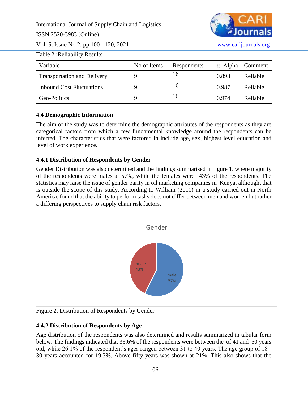ISSN 2520-3983 (Online)

Vol. 5, Issue No.2, pp 100 - 120, 2021 [www.carijournals.org](http://www.carijournals.org/)



Table 2 :Reliability Results

| Variable                           | No of Items | Respondents |       | $\alpha$ =Alpha Comment |
|------------------------------------|-------------|-------------|-------|-------------------------|
| <b>Transportation and Delivery</b> |             | 16          | 0.893 | Reliable                |
| <b>Inbound Cost Fluctuations</b>   |             | 16          | 0.987 | Reliable                |
| Geo-Politics                       | Q           | 16          | 0.974 | Reliable                |

# **4.4 Demographic Information**

The aim of the study was to determine the demographic attributes of the respondents as they are categorical factors from which a few fundamental knowledge around the respondents can be inferred. The characteristics that were factored in include age, sex, highest level education and level of work experience.

# **4.4.1 Distribution of Respondents by Gender**

Gender Distribution was also determined and the findings summarised in figure 1. where majority of the respondents were males at 57%, while the females were 43% of the respondents. The statistics may raise the issue of gender parity in oil marketing companies in Kenya, althought that is outside the scope of this study. According to William (2010) in a study carried out in North America, found that the ability to perform tasks does not differ between men and women but rather a differing perspectives to supply chain risk factors.



Figure 2: Distribution of Respondents by Gender

# **4.4.2 Distribution of Respondents by Age**

Age distribution of the respondents was also determined and results summarized in tabular form below. The findings indicated that 33.6% of the respondents were between the of 41 and 50 years old, while 26.1% of the respondent's ages ranged between 31 to 40 years. The age group of 18 - 30 years accounted for 19.3%. Above fifty years was shown at 21%. This also shows that the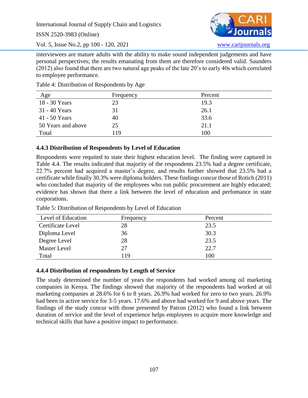ISSN 2520-3983 (Online)

Vol. 5, Issue No.2, pp 100 - 120, 2021 [www.carijournals.org](http://www.carijournals.org/)

interviewees are mature adults with the ability to make sound independent judgements and have personal perspectives; the results emanating from them are therefore considered valid. Saunders (2012) also found that there are two natural age peaks of the late 20's to early 40s which correlated to employee performance.

| Age                | Frequency | Percent |
|--------------------|-----------|---------|
| 18 - 30 Years      | 23        | 19.3    |
| $31 - 40$ Years    | 31        | 26.1    |
| 41 - 50 Years      | 40        | 33.6    |
| 50 Years and above | 25        | 21.1    |
| Total              | 119       | 100     |

Table 4: Distribution of Respondents by Age

# **4.4.3 Distribution of Respondents by Level of Education**

Respondents were requited to state their highest education level. The finding were captured in Table 4.4. The results indicated that majority of the respondents 23.5% had a degree certificate, 22.7% percent had acquired a master's degree, and results further showed that 23.5% had a certificate while finally 30.3% were diploma holders. These findings concur those of Rotich (2011) who concluded that majority of the employees who run public procurement are highly educated; evidence has shown that there a link between the level of education and perfomance in state corporations.

| Level of Education  | Frequency | Percent |
|---------------------|-----------|---------|
| Certificate Level   | 28        | 23.5    |
| Diploma Level       | 36        | 30.3    |
| Degree Level        | 28        | 23.5    |
| <b>Master Level</b> | 27        | 22.7    |
| Total               | 119       | 100     |

Table 5: Distribution of Respondents by Level of Education

# **4.4.4 Distribution of respondents by Length of Service**

The study determined the number of years the respondents had worked among oil marketing companies in Kenya. The findings showed that majority of the respondents had worked at oil marketing companies at 28.6% for 6 to 8 years. 26.9% had worked for zero to two years. 26.9% had been in active service for 3-5 years. 17.6% and above had worked for 9 and above years. The findings of the study concur with those presented by Patron (2012) who found a link between duration of service and the level of experience helps employees to acquire more knowledge and technical skills that have a positive impact to performance.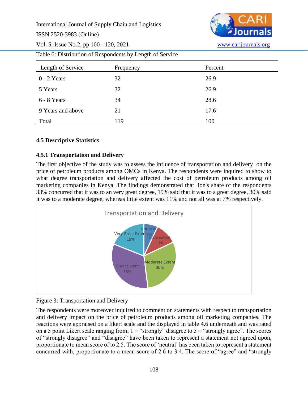ISSN 2520-3983 (Online)



Vol. 5, Issue No.2, pp 100 - 120, 2021 [www.carijournals.org](http://www.carijournals.org/)

Table 6: Distribution of Respondents by Length of Service

| Length of Service | Frequency | Percent |
|-------------------|-----------|---------|
| $0 - 2$ Years     | 32        | 26.9    |
| 5 Years           | 32        | 26.9    |
| $6 - 8$ Years     | 34        | 28.6    |
| 9 Years and above | 21        | 17.6    |
| Total             | 119       | 100     |

# **4.5 Descriptive Statistics**

# **4.5.1 Transportation and Delivery**

The first objective of the study was to assess the influence of transportation and delivery on the price of petroleum products among OMCs in Kenya. The respondents were inquired to show to what degree transportation and delivery affected the cost of petroleum products among oil marketing companies in Kenya .The findings demonstrated that lion's share of the respondents 33% concurred that it was to an very great degree, 19% said that it was to a great degree, 30% said it was to a moderate degree, whereas little extent was 11% and not all was at 7% respectively.



Figure 3: Transportation and Delivery

The respondents were moreover inquired to comment on statements with respect to transportation and delivery impact on the price of petroleum products among oil marketing companies. The reactions were appraised on a likert scale and the displayed in table 4.6 underneath and was rated on a 5 point Likert scale ranging from;  $1 =$  "strongly" disagree to  $5 =$  "strongly agree". The scores of "strongly disagree" and "disagree" have been taken to represent a statement not agreed upon, proportionate to mean score of to 2.5. The score of 'neutral' has been taken to represent a statement concurred with, proportionate to a mean score of 2.6 to 3.4. The score of "agree" and "strongly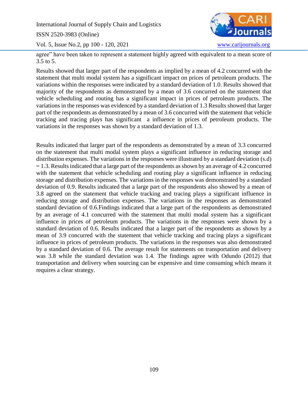ISSN 2520-3983 (Online)

Vol. 5, Issue No.2, pp 100 - 120, 2021 [www.carijournals.org](http://www.carijournals.org/)



agree" have been taken to represent a statement highly agreed with equivalent to a mean score of 3.5 to 5.

Results showed that larger part of the respondents as implied by a mean of 4.2 concurred with the statement that multi modal system has a significant impact on prices of petroleum products. The variations within the responses were indicated by a standard deviation of 1.0. Results showed that majority of the respondents as demonstrated by a mean of 3.6 concurred on the statement that vehicle scheduling and routing has a significant impact in prices of petroleum products. The variations in the responses was evidenced by a standard deviation of 1.3 Results showed that larger part of the respondents as demonstrated by a mean of 3.6 concurred with the statement that vehicle tracking and tracing plays has significant a influence in prices of petroleum products. The variations in the responses was shown by a standard deviation of 1.3.

Results indicated that larger part of the respondents as demonstrated by a mean of 3.3 concurred on the statement that multi modal system plays a significant influence in reducing storage and distribution expenses. The variations in the responses were illustrated by a standard deviation (s.d)  $= 1.3$ . Results indicated that a large part of the respondents as shown by an average of 4.2 concurred with the statement that vehicle scheduling and routing play a significant influence in reducing storage and distribution expenses. The variations in the responses was demonstrated by a standard deviation of 0.9. Results indicated that a large part of the respondents also showed by a mean of 3.8 agreed on the statement that vehicle tracking and tracing plays a significant influence in reducing storage and distribution expenses. The variations in the responses as demonstrated standard deviation of 0.6.Findings indicated that a large part of the respondents as demonstrated by an average of 4.1 concurred with the statement that multi modal system has a significant influence in prices of petroleum products. The variations in the responses were shown by a standard deviation of 0.6. Results indicated that a larger part of the respondents as shown by a mean of 3.9 concurred with the statement that vehicle tracking and tracing plays a significant influence in prices of petroleum products. The variations in the responses was also demonstrated by a standard deviation of 0.6. The average result for statements on transportation and delivery was 3.8 while the standard deviation was 1.4. The findings agree with Odundo (2012) that transportation and delivery when sourcing can be expensive and time consuming which means it requires a clear strategy.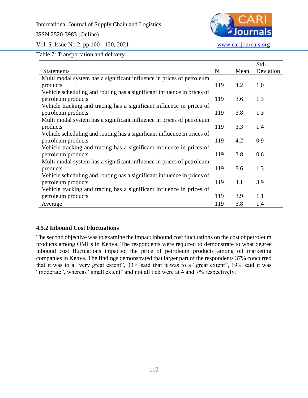# ISSN 2520-3983 (Online)



Vol. 5, Issue No.2, pp 100 - 120, 2021 [www.carijournals.org](http://www.carijournals.org/)

Table 7: Transportation and delivery

|                                                                         |     |      | Std.      |
|-------------------------------------------------------------------------|-----|------|-----------|
| <b>Statements</b>                                                       | N   | Mean | Deviation |
| Multi modal system has a significant influence in prices of petroleum   |     |      |           |
| products                                                                | 119 | 4.2  | 1.0       |
| Vehicle scheduling and routing has a significant influence in prices of |     |      |           |
| petroleum products                                                      | 119 | 3.6  | 1.3       |
| Vehicle tracking and tracing has a significant influence in prices of   |     |      |           |
| petroleum products                                                      | 119 | 3.8  | 1.3       |
| Multi modal system has a significant influence in prices of petroleum   |     |      |           |
| products                                                                | 119 | 3.3  | 1.4       |
| Vehicle scheduling and routing has a significant influence in prices of |     |      |           |
| petroleum products                                                      | 119 | 4.2  | 0.9       |
| Vehicle tracking and tracing has a significant influence in prices of   |     |      |           |
| petroleum products                                                      | 119 | 3.8  | 0.6       |
| Multi modal system has a significant influence in prices of petroleum   |     |      |           |
| products                                                                | 119 | 3.6  | 1.3       |
| Vehicle scheduling and routing has a significant influence in prices of |     |      |           |
| petroleum products                                                      | 119 | 4.1  | 3.9       |
| Vehicle tracking and tracing has a significant influence in prices of   |     |      |           |
| petroleum products                                                      | 119 | 3.9  | 1.1       |
| Average                                                                 | 119 | 3.8  | 1.4       |

# **4.5.2 Inbound Cost Fluctuations**

The second objective was to examine the impact inbound cost fluctuations on the cost of petroleum products among OMCs in Kenya. The respondents were required to demonstrate to what degree inbound cost fluctuations impacted the price of petroleum products among oil marketing companies in Kenya. The findings demonstrated that larger part of the respondents 37% concurred that it was to a "very great extent", 33% said that it was to a "great extent", 19% said it was "moderate", whereas "small extent" and not all tied were at 4 and 7% respectively.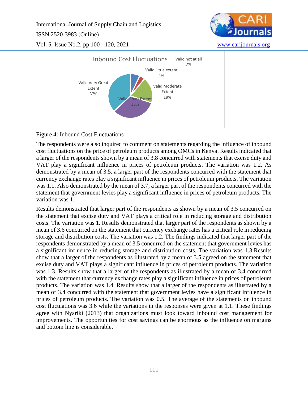ISSN 2520-3983 (Online)



Vol. 5, Issue No.2, pp 100 - 120, 2021 [www.carijournals.org](http://www.carijournals.org/)



Figure 4: Inbound Cost Fluctuations

The respondents were also inquired to comment on statements regarding the influence of inbound cost fluctuations on the price of petroleum products among OMCs in Kenya. Results indicated that a larger of the respondents shown by a mean of 3.8 concurred with statements that excise duty and VAT play a significant influence in prices of petroleum products. The variation was 1.2. As demonstrated by a mean of 3.5, a larger part of the respondents concurred with the statement that currency exchange rates play a significant influence in prices of petroleum products. The variation was 1.1. Also demonstrated by the mean of 3.7, a larger part of the respondents concurred with the statement that government levies play a significant influence in prices of petroleum products. The variation was 1.

Results demonstrated that larger part of the respondents as shown by a mean of 3.5 concurred on the statement that excise duty and VAT plays a critical role in reducing storage and distribution costs. The variation was 1. Results demonstrated that larger part of the respondents as shown by a mean of 3.6 concurred on the statement that currency exchange rates has a critical role in reducing storage and distribution costs. The variation was 1.2. The findings indicated that larger part of the respondents demonstrated by a mean of 3.5 concurred on the statement that government levies has a significant influence in reducing storage and distribution costs. The variation was 1.3.Results show that a larger of the respondents as illustrated by a mean of 3.5 agreed on the statement that excise duty and VAT plays a significant influence in prices of petroleum products. The variation was 1.3. Results show that a larger of the respondents as illustrated by a mean of 3.4 concurred with the statement that currency exchange rates play a significant influence in prices of petroleum products. The variation was 1.4. Results show that a larger of the respondents as illustrated by a mean of 3.4 concurred with the statement that government levies have a significant influence in prices of petroleum products. The variation was 0.5. The average of the statements on inbound cost fluctuations was 3.6 while the variations in the responses were given at 1.1. These findings agree with Nyariki (2013) that organizations must look toward inbound cost management for improvements. The opportunities for cost savings can be enormous as the influence on margins and bottom line is considerable.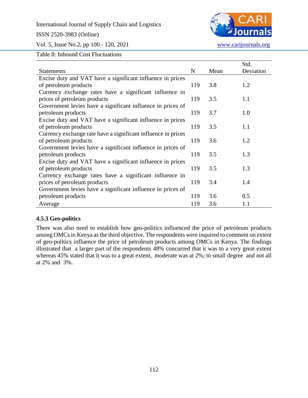## ISSN 2520-3983 (Online)



Vol. 5, Issue No.2, pp 100 - 120, 2021 [www.carijournals.org](http://www.carijournals.org/)

Table 8: Inbound Cost Fluctuations

|                                                               |     |      | Std.      |
|---------------------------------------------------------------|-----|------|-----------|
| <b>Statements</b>                                             | N   | Mean | Deviation |
| Excise duty and VAT have a significant influence in prices    |     |      |           |
| of petroleum products                                         | 119 | 3.8  | 1.2       |
| Currency exchange rates have a significant influence in       |     |      |           |
| prices of petroleum products                                  | 119 | 3.5  | 1.1       |
| Government levies have a significant influence in prices of   |     |      |           |
| petroleum products                                            | 119 | 3.7  | 1.0       |
| Excise duty and VAT have a significant influence in prices    |     |      |           |
| of petroleum products                                         | 119 | 3.5  | 1.1       |
| Currency exchange rate have a significant influence in prices |     |      |           |
| of petroleum products                                         | 119 | 3.6  | 1.2       |
| Government levies have a significant influence in prices of   |     |      |           |
| petroleum products                                            | 119 | 3.5  | 1.3       |
| Excise duty and VAT have a significant influence in prices    |     |      |           |
| of petroleum products                                         | 119 | 3.5  | 1.3       |
| Currency exchange rates have a significant influence in       |     |      |           |
| prices of petroleum products                                  | 119 | 3.4  | 1.4       |
| Government levies have a significant influence in prices of   |     |      |           |
| petroleum products                                            | 119 | 3.6  | 0.5       |
| Average                                                       | 119 | 3.6  | 1.1       |

# **4.5.3 Geo-politics**

There was also need to establish how geo-politics influenced the price of petroleum products among OMCs in Kenya as the third objective. The respondents were inquired to comment on extent of geo-politics influence the price of petroleum products among OMCs in Kenya. The findings illustrated that a larger part of the respondents 48% concurred that it was to a very great extent whereas 45% stated that it was to a great extent, moderate was at 2%; to small degree and not all at 2% and 3%.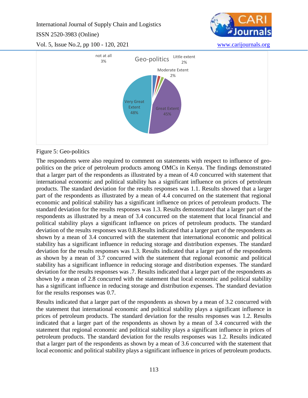ISSN 2520-3983 (Online)







# Figure 5: Geo-politics

The respondents were also required to comment on statements with respect to influence of geopolitics on the price of petroleum products among OMCs in Kenya. The findings demonstrated that a larger part of the respondents as illustrated by a mean of 4.0 concurred with statement that international economic and political stability has a significant influence on prices of petroleum products. The standard deviation for the results responses was 1.1. Results showed that a larger part of the respondents as illustrated by a mean of 4.4 concurred on the statement that regional economic and political stability has a significant influence on prices of petroleum products. The standard deviation for the results responses was 1.3. Results demonstrated that a larger part of the respondents as illustrated by a mean of 3.4 concurred on the statement that local financial and political stability plays a significant influence on prices of petroleum products. The standard deviation of the results responses was 0.8.Results indicated that a larger part of the respondents as shown by a mean of 3.4 concurred with the statement that international economic and political stability has a significant influence in reducing storage and distribution expenses. The standard deviation for the results responses was 1.3. Results indicated that a larger part of the respondents as shown by a mean of 3.7 concurred with the statement that regional economic and political stability has a significant influence in reducing storage and distribution expenses. The standard deviation for the results responses was .7. Results indicated that a larger part of the respondents as shown by a mean of 2.8 concurred with the statement that local economic and political stability has a significant influence in reducing storage and distribution expenses. The standard deviation for the results responses was 0.7.

Results indicated that a larger part of the respondents as shown by a mean of 3.2 concurred with the statement that international economic and political stability plays a significant influence in prices of petroleum products. The standard deviation for the results responses was 1.2. Results indicated that a larger part of the respondents as shown by a mean of 3.4 concurred with the statement that regional economic and political stability plays a significant influence in prices of petroleum products. The standard deviation for the results responses was 1.2. Results indicated that a larger part of the respondents as shown by a mean of 3.6 concurred with the statement that local economic and political stability plays a significant influence in prices of petroleum products.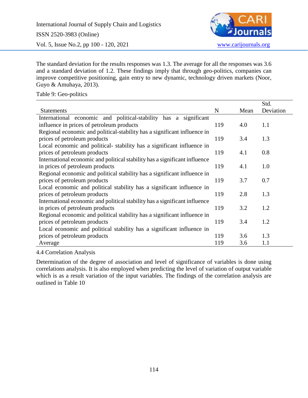

The standard deviation for the results responses was 1.3. The average for all the responses was 3.6 and a standard deviation of 1.2. These findings imply that through geo-politics, companies can improve competitive positioning, gain entry to new dynamic, technology driven markets (Noor, Guyo & Amuhaya, 2013).

Table 9: Geo-politics

|                                                                            |     |      | Std.      |
|----------------------------------------------------------------------------|-----|------|-----------|
| <b>Statements</b>                                                          | N   | Mean | Deviation |
| International economic and political-stability has a significant           |     |      |           |
| influence in prices of petroleum products                                  | 119 | 4.0  | 1.1       |
| Regional economic and political-stability has a significant influence in   |     |      |           |
| prices of petroleum products                                               | 119 | 3.4  | 1.3       |
| Local economic and political-stability has a significant influence in      |     |      |           |
| prices of petroleum products                                               | 119 | 4.1  | 0.8       |
| International economic and political stability has a significant influence |     |      |           |
| in prices of petroleum products                                            | 119 | 4.1  | 1.0       |
| Regional economic and political stability has a significant influence in   |     |      |           |
| prices of petroleum products                                               | 119 | 3.7  | 0.7       |
| Local economic and political stability has a significant influence in      |     |      |           |
| prices of petroleum products                                               | 119 | 2.8  | 1.3       |
| International economic and political stability has a significant influence |     |      |           |
| in prices of petroleum products                                            | 119 | 3.2  | 1.2       |
| Regional economic and political stability has a significant influence in   |     |      |           |
| prices of petroleum products                                               | 119 | 3.4  | 1.2       |
| Local economic and political stability has a significant influence in      |     |      |           |
| prices of petroleum products                                               | 119 | 3.6  | 1.3       |
| Average                                                                    | 119 | 3.6  | 1.1       |

4.4 Correlation Analysis

Determination of the degree of association and level of significance of variables is done using correlations analysis. It is also employed when predicting the level of variation of output variable which is as a result variation of the input variables. The findings of the correlation analysis are outlined in Table 10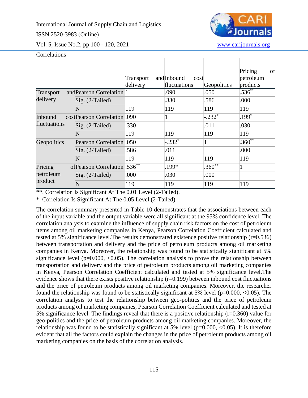ISSN 2520-3983 (Online)



Vol. 5, Issue No.2, pp 100 - 120, 2021 [www.carijournals.org](http://www.carijournals.org/)

## **Correlations**

|                                 |                   |                              | Transport<br>delivery | andInbound<br>cost<br>fluctuations | Geopolitics | Pricing<br>petroleum<br>products | of |
|---------------------------------|-------------------|------------------------------|-----------------------|------------------------------------|-------------|----------------------------------|----|
| Transport                       |                   | and Pearson Correlation 1    |                       | .090                               | .050        | $.536^{**}$                      |    |
| delivery                        | $Sig. (2-Tailed)$ |                              |                       | .330                               | .586        | .000                             |    |
|                                 | N                 |                              | 119                   | 119                                | 119         | 119                              |    |
| Inbound<br><i>fluctuations</i>  |                   | costPearson Correlation .090 |                       | $\mathbf{1}$                       | $-.232*$    | $199*$                           |    |
|                                 | $Sig. (2-Tailed)$ |                              | .330                  |                                    | .011        | .030                             |    |
|                                 | N                 |                              | 119                   | 119                                | 119         | 119                              |    |
| Geopolitics                     |                   | Pearson Correlation .050     |                       | $-.232*$                           | 1           | $1.360^{**}$                     |    |
|                                 | $Sig. (2-Tailed)$ |                              | .586                  | .011                               |             | .000                             |    |
|                                 | N                 |                              | 119                   | 119                                | 119         | 119                              |    |
| Pricing<br>petroleum<br>product |                   | ofPearson Correlation .536** |                       | .199*                              | $.360**$    | $\mathbf{1}$                     |    |
|                                 | $Sig. (2-Tailed)$ |                              | .000                  | .030                               | .000        |                                  |    |
|                                 | N                 |                              | 119                   | 119                                | 119         | 119                              |    |

 $\mathbb T$ 

T

\*\*. Correlation Is Significant At The 0.01 Level (2-Tailed).

\*. Correlation Is Significant At The 0.05 Level (2-Tailed).

The correlation summary presented in Table 10 demonstrates that the associations between each of the input variable and the output variable were all significant at the 95% confidence level. The correlation analysis to examine the influence of supply chain risk factors on the cost of petroleum items among oil marketing companies in Kenya, Pearson Correlation Coefficient calculated and tested at 5% significance level.The results demonstrated existence positive relationship (r=0.536) between transportation and delivery and the price of petroleum products among oil marketing companies in Kenya. Moreover, the relationship was found to be statistically significant at 5% significance level ( $p=0.000, <0.05$ ). The correlation analysis to prove the relationship between transportation and delivery and the price of petroleum products among oil marketing companies in Kenya, Pearson Correlation Coefficient calculated and tested at 5% significance level.The evidence shows that there exists positive relationship (r=0.199) between inbound cost fluctuations and the price of petroleum products among oil marketing companies. Moreover, the researcher found the relationship was found to be statistically significant at 5% level ( $p=0.000, <0.05$ ). The correlation analysis to test the relationship between geo-politics and the price of petroleum products among oil marketing companies, Pearson Correlation Coefficient calculated and tested at 5% significance level. The findings reveal that there is a positive relationship ( $r=0.360$ ) value for geo-politics and the price of petroleum products among oil marketing companies. Moreover, the relationship was found to be statistically significant at 5% level ( $p=0.000$ , <0.05). It is therefore evident that all the factors could explain the changes in the price of petroleum products among oil marketing companies on the basis of the correlation analysis.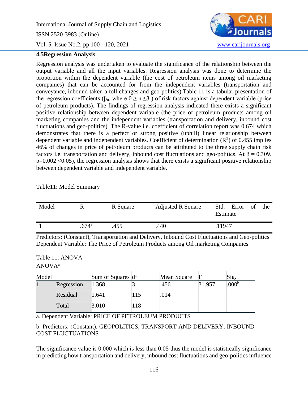International Journal of Supply Chain and Logistics ISSN 2520-3983 (Online) Vol. 5, Issue No.2, pp 100 - 120, 2021 [www.carijournals.org](http://www.carijournals.org/)

## **4.5Regression Analysis**



Regression analysis was undertaken to evaluate the significance of the relationship between the output variable and all the input variables. Regression analysis was done to determine the proportion within the dependent variable (the cost of petroleum items among oil marketing companies) that can be accounted for from the independent variables (transportation and conveyance, inbound taken a toll changes and geo-politics).Table 11 is a tabular presentation of the regression coefficients ( $\beta_n$ , where  $0 \ge n \le 3$ ) of risk factors against dependent variable (price of petroleum products). The findings of regression analysis indicated there exists a significant positive relationship between dependent variable (the price of petroleum products among oil marketing companies and the independent variables (transportation and delivery, inbound cost fluctuations and geo-politics). The R-value i.e. coefficient of correlation report was 0.674 which demonstrates that there is a perfect or strong positive (uphill) linear relationship between dependent variable and independent variables. Coefficient of determination  $(R^2)$  of 0.455 implies 46% of changes in price of petroleum products can be attributed to the three supply chain risk factors i.e. transportation and delivery, inbound cost fluctuations and geo-politics. At  $\beta = 0.309$ ,  $p=0.002$  <0.05), the regression analysis shows that there exists a significant positive relationship between dependent variable and independent variable.

Table11: Model Summary

| Model |                   | R Square | <b>Adjusted R Square</b> | Std.<br>Error<br>- of<br>the<br>Estimate |
|-------|-------------------|----------|--------------------------|------------------------------------------|
|       | .674 <sup>a</sup> | .455     | .440                     | .11947                                   |

Predictors: (Constant), Transportation and Delivery, Inbound Cost Fluctuations and Geo-politics Dependent Variable: The Price of Petroleum Products among Oil marketing Companies

Table 11: ANOVA ANOVA<sup>a</sup>

| Model |            | Sum of Squares df |     | Mean Square | F      | Sig.           |
|-------|------------|-------------------|-----|-------------|--------|----------------|
|       | Regression | 1.368             |     | .456        | 31.957 | $.000^{\rm b}$ |
|       | Residual   | 1.641             | 115 | .014        |        |                |
|       | Total      | 3.010             | 118 |             |        |                |

a. Dependent Variable: PRICE OF PETROLEUM PRODUCTS

b. Predictors: (Constant), GEOPOLITICS, TRANSPORT AND DELIVERY, INBOUND COST FLUCTUATIONS

The significance value is 0.000 which is less than 0.05 thus the model is statistically significance in predicting how transportation and delivery, inbound cost fluctuations and geo-politics influence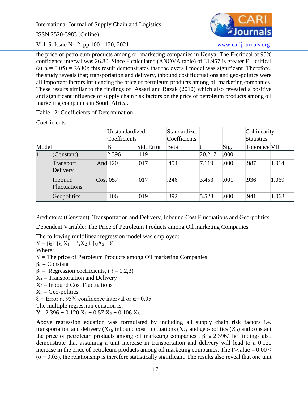ISSN 2520-3983 (Online)

Vol. 5, Issue No.2, pp 100 - 120, 2021 [www.carijournals.org](http://www.carijournals.org/)



the price of petroleum products among oil marketing companies in Kenya. The F-critical at 95% confidence interval was 26.80. Since F calculated (ANOVA table) of 31.957 is greater F – critical (at  $\alpha = 0.05$ ) = 26.80; this result demonstrates that the overall model was significant. Therefore, the study reveals that; transportation and delivery, inbound cost fluctuations and geo-politics were all important factors influencing the price of petroleum products among oil marketing companies. These results similar to the findings of Asaari and Razak (2010) which also revealed a positive and significant influence of supply chain risk factors on the price of petroleum products among oil marketing companies in South Africa.

Table 12: Coefficients of Determination

Coefficients<sup>a</sup>

|       |                                |          | Unstandardized<br>Coefficients |            | Standardized<br>Coefficients |        |      | Collinearity<br><b>Statistics</b> |       |
|-------|--------------------------------|----------|--------------------------------|------------|------------------------------|--------|------|-----------------------------------|-------|
| Model |                                |          | B                              | Std. Error | <b>Beta</b>                  |        | Sig. | Tolerance VIF                     |       |
| 1     | (Constant)                     |          | 2.396                          | .119       |                              | 20.217 | .000 |                                   |       |
|       | Transport<br>Delivery          |          | And.120                        | .017       | .494                         | 7.119  | .000 | .987                              | 1.014 |
|       | Inbound<br><b>Fluctuations</b> | Cost.057 |                                | .017       | .246                         | 3.453  | .001 | .936                              | 1.069 |
|       | Geopolitics                    |          | .106                           | .019       | .392                         | 5.528  | .000 | .941                              | 1.063 |

Predictors: (Constant), Transportation and Delivery, Inbound Cost Fluctuations and Geo-politics

Dependent Variable: The Price of Petroleum Products among Oil marketing Companies

The following multilinear regression model was employed:

 $Y = \beta_0 + \beta_1 X_1 + \beta_2 X_2 + \beta_3 X_3 + \varepsilon$ 

Where:

 $Y =$ The price of Petroleum Products among Oil marketing Companies

 $\beta_0$  = Constant

 $\beta_i$  = Regression coefficients, ( $i = 1,2,3$ )

 $X_1$  = Transportation and Delivery

 $X_2$  = Inbound Cost Fluctuations

 $X_3$  = Geo-politics

 $\epsilon$  = Error at 95% confidence interval or  $\alpha$  = 0.05

The multiple regression equation is;

 $Y = 2.396 + 0.120 X_1 + 0.57 X_2 + 0.106 X_3$ 

Above regression equation was formulated by including all supply chain risk factors i.e. transportation and delivery  $(X_1)$ , inbound cost fluctuations  $(X_2)$  and geo-politics  $(X_3)$  and constant the price of petroleum products among oil marketing companies,  $\beta_{0} = 2.396$ . The findings also demonstrate that assuming a unit increase in transportation and delivery will lead to a 0.120 increase in the price of petroleum products among oil marketing companies. The P-value  $= 0.00 <$  $(\alpha = 0.05)$ , the relationship is therefore statistically significant. The results also reveal that one unit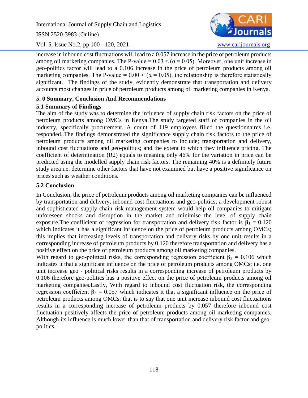ISSN 2520-3983 (Online)

Vol. 5, Issue No.2, pp 100 - 120, 2021 [www.carijournals.org](http://www.carijournals.org/)



increase in inbound cost fluctuations will lead to a 0.057 increase in the price of petroleum products among oil marketing companies. The P-value =  $0.03 < (\alpha = 0.05)$ . Moreover, one unit increase in geo-politics factor will lead to a 0.106 increase in the price of petroleum products among oil marketing companies. The P-value =  $0.00 < (\alpha = 0.05)$ , the relationship is therefore statistically significant. The findings of the study, evidently demonstrate that transportation and delivery accounts most changes in price of petroleum products among oil marketing companies in Kenya.

# **5. 0 Summary, Conclusion And Recommendations**

# **5.1 Summary of Findings**

The aim of the study was to determine the influence of supply chain risk factors on the price of petroleum products among OMCs in Kenya.The study targeted staff of companies in the oil industry, specifically procurement. A count of 119 employees filled the questionnaires i.e. responded..The findings demonstrated the significance supply chain risk factors to the price of petroleum products among oil marketing companies to include; transportation and delivery, inbound cost fluctuations and geo-politics; and the extent to which they influence pricing. The coefficient of determination (R2) equals to meaning only 46% for the variation in price can be predicted using the modelled supply chain risk factors. The remaining 40% is a definitely future study area i.e. determine other factors that have not examined but have a positive significance on prices such as weather conditions.

# **5.2 Conclusion**

In Conclusion, the price of petroleum products among oil marketing companies can be influenced by transportation and delivery, inbound cost fluctuations and geo-politics; a development robust and sophisticated supply chain risk management system would help oil companies to mitigate unforeseen shocks and disruption in the market and minimise the level of supply chain exposure. The coefficient of regression for transportation and delivery risk factor is  $\beta_1 = 0.120$ which indicates it has a significant influence on the price of petroleum products among OMCs; this implies that increasing levels of transportation and delivery risks by one unit results in a corresponding increase of petroleum products by 0.120 therefore transportation and delivery has a positive effect on the price of petroleum products among oil marketing companies.

With regard to geo-political risks, the corresponding regression coefficient  $\beta_3 = 0.106$  which indicates it that a significant influence on the price of petroleum products among OMCs; i.e. one unit increase geo - political risks results in a corresponding increase of petroleum products by 0.106 therefore geo-politics has a positive effect on the price of petroleum products among oil marketing companies.Lastly, With regard to inbound cost fluctuation risk, the corresponding regression coefficient  $β<sub>2</sub> = 0.057$  which indicates it that a significant influence on the price of petroleum products among OMCs; that is to say that one unit increase inbound cost fluctuations results in a corresponding increase of petroleum products by 0.057 therefore inbound cost fluctuation positively affects the price of petroleum products among oil marketing companies. Although its influence is much lower than that of transportation and delivery risk factor and geopolitics.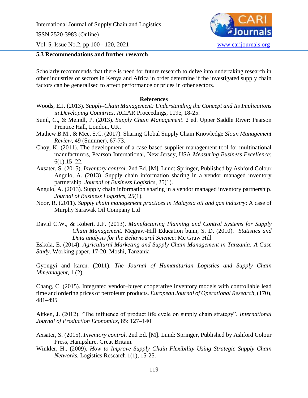ISSN 2520-3983 (Online)

Vol. 5, Issue No.2, pp 100 - 120, 2021 [www.carijournals.org](http://www.carijournals.org/)

#### **5.3 Recommendations and further research**

Scholarly recommends that there is need for future research to delve into undertaking research in other industries or sectors in Kenya and Africa in order determine if the investigated supply chain factors can be generalised to affect performance or prices in other sectors.

## **References**

- Woods, E.J. (2013). *Supply-Chain Management: Understanding the Concept and Its Implications in Developing Countries*. ACIAR Proceedings, 119e, 18-25.
- Sunil, C., & Meindl, P. (2013). *Supply Chain Management*. 2 ed. Upper Saddle River: Pearson Prentice Hall, London, UK.
- Mathew B.M., & Mee, S.C. (2017). Sharing Global Supply Chain Knowledge *Sloan Management Review*, 49 (Summer), 67-73.
- Choy, K. (2011). The development of a case based supplier management tool for multinational manufacturers, Pearson International, New Jersey, USA *Measuring Business Excellence*;  $6(1):15-22.$
- Axsater, S. (2015). *Inventory control*. 2nd Ed. [M]. Lund: Springer, Published by Ashford Colour Angulo, A. (2013). Supply chain information sharing in a vendor managed inventory partnership. *Journal of Business Logistics*, 25(1).
- Angulo, A. (2013). Supply chain information sharing in a vendor managed inventory partnership. *Journal of Business Logistics*, 25(1).
- Noor, R. (2011). *Supply chain management practices in Malaysia oil and gas industry*: A case of Murphy Sarawak Oil Company Ltd
- David C.W., & Robert, J.F. (2013). *Manufacturing Planning and Control Systems for Supply Chain Management*. Mcgraw-Hill Education bunn, S. D. (2010). *Statistics and Data analysis for the Behavioural Science*: Mc Graw Hill

Eskola, E. (2014). *Agricultural Marketing and Supply Chain Management in Tanzania: A Case Study*. Working paper, 17-20, Moshi, Tanzania

Gyongyi and karen. (2011). *The Journal of Humanitarian Logistics and Supply Chain Mmeanagent,* 1 (2),

Chang, C. (2015). Integrated vendor–buyer cooperative inventory models with controllable lead time and ordering prices of petroleum products. *European Journal of Operational Research,* (170), 481–495

Aitken, J. (2012). "The influence of product life cycle on supply chain strategy". *International Journal of Production Economics,* 85: 127–140

- Axsater, S. (2015). *Inventory control*. 2nd Ed. [M]. Lund: Springer, Published by Ashford Colour Press, Hampshire, Great Britain.
- Winkler, H., (2009). *How to Improve Supply Chain Flexibility Using Strategic Supply Chain Networks.* Logistics Research 1(1), 15-25.